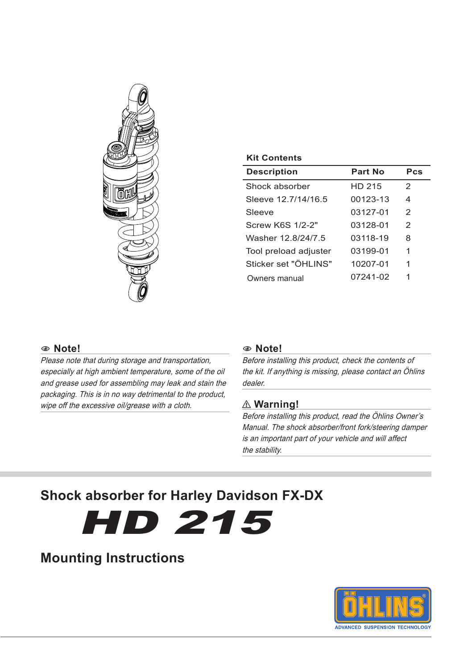

| <b>Kit Contents</b>   |          |               |
|-----------------------|----------|---------------|
| Description           | Part No  | Pcs           |
| Shock absorber        | HD 215   | $\mathcal{P}$ |
| Sleeve 12 7/14/16 5   | 00123-13 | 4             |
| Sleeve                | 03127-01 | $\mathcal{P}$ |
| Screw K6S 1/2-2"      | 03128-01 | $\mathcal{P}$ |
| Washer 12.8/24/7.5    | 03118-19 | 8             |
| Tool preload adjuster | 03199-01 | 1             |
| Sticker set "ÖHI INS" | 10207-01 | 1             |
| Owners manual         | 07241-02 | 1             |
|                       |          |               |

#### 1 **Note!**

Please note that during storage and transportation, especially at high ambient temperature, some of the oil and grease used for assembling may leak and stain the packaging. This is in no way detrimental to the product, wipe off the excessive oil/grease with a cloth.

#### 1 **Note!**

Before installing this product, check the contents of the kit. If anything is missing, please contact an Öhlins dealer.

#### ⚠ **Warning!**

Before installing this product, read the Öhlins Owner's Manual. The shock absorber/front fork/steering damper is an important part of your vehicle and will affect the stability.

# **Shock absorber for Harley Davidson FX-DX**

HD 215

# **Mounting Instructions**

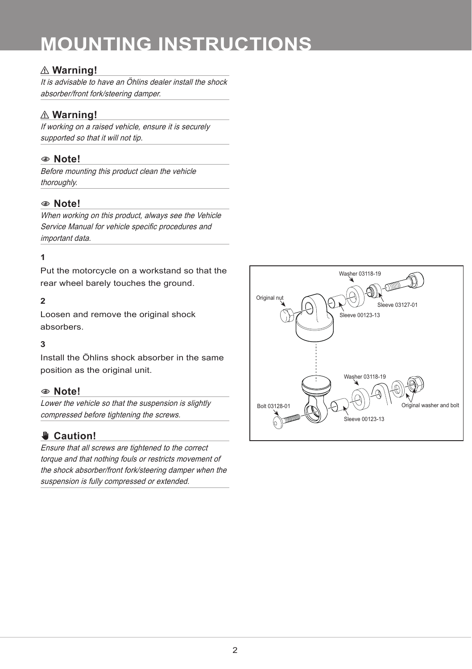# **MOUNTING INSTRUCTIONS**

# ⚠ **Warning!**

It is advisable to have an Öhlins dealer install the shock absorber/front fork/steering damper.

# ⚠ **Warning!**

If working on a raised vehicle, ensure it is securely supported so that it will not tip.

### 1 **Note!**

Before mounting this product clean the vehicle thoroughly.

### 1 **Note!**

When working on this product, always see the Vehicle Service Manual for vehicle specific procedures and important data.

### **1**

Put the motorcycle on a workstand so that the rear wheel barely touches the ground.

#### **2**

Loosen and remove the original shock absorbers.

#### **3**

Install the Öhlins shock absorber in the same position as the original unit.

#### 1 **Note!**

Lower the vehicle so that the suspension is slightly compressed before tightening the screws.

## ✋**✋ Caution!**

Ensure that all screws are tightened to the correct torque and that nothing fouls or restricts movement of the shock absorber/front fork/steering damper when the suspension is fully compressed or extended.

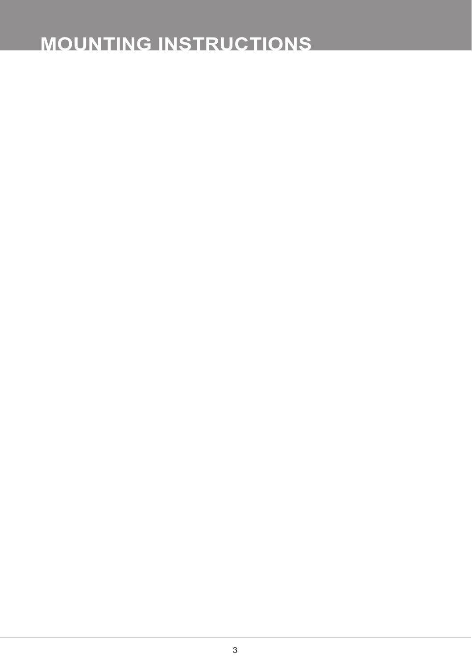# **MOUNTING INSTRUCTIONS**